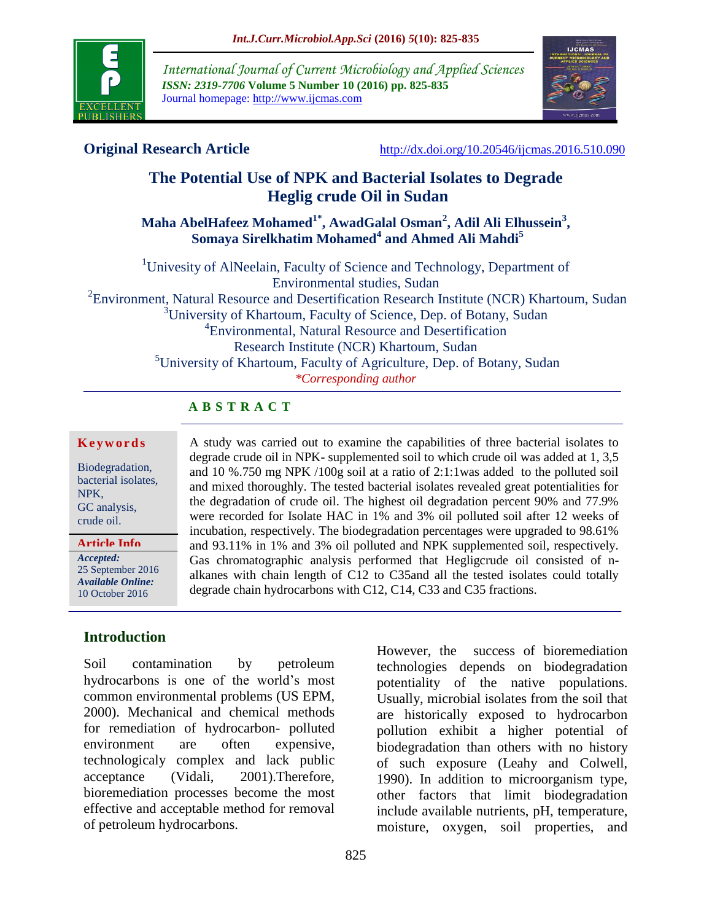

*International Journal of Current Microbiology and Applied Sciences ISSN: 2319-7706* **Volume 5 Number 10 (2016) pp. 825-835** Journal homepage: http://www.ijcmas.com



**Original Research Article** <http://dx.doi.org/10.20546/ijcmas.2016.510.090>

# **The Potential Use of NPK and Bacterial Isolates to Degrade Heglig crude Oil in Sudan**

**Maha AbelHafeez Mohamed1\* , AwadGalal Osman<sup>2</sup> , Adil Ali Elhussein<sup>3</sup> , Somaya Sirelkhatim Mohamed<sup>4</sup> and Ahmed Ali Mahdi<sup>5</sup>**

<sup>1</sup>Univesity of AlNeelain, Faculty of Science and Technology, Department of Environmental studies, Sudan  ${}^{2}$ Environment, Natural Resource and Desertification Research Institute (NCR) Khartoum, Sudan <sup>3</sup>University of Khartoum, Faculty of Science, Dep. of Botany, Sudan 4 Environmental, Natural Resource and Desertification Research Institute (NCR) Khartoum, Sudan <sup>5</sup>University of Khartoum, Faculty of Agriculture, Dep. of Botany, Sudan

*\*Corresponding author*

degrade chain hydrocarbons with C12, C14, C33 and C35 fractions.

A study was carried out to examine the capabilities of three bacterial isolates to degrade crude oil in NPK- supplemented soil to which crude oil was added at 1, 3,5 and 10 %.750 mg NPK /100g soil at a ratio of 2:1:1was added to the polluted soil and mixed thoroughly. The tested bacterial isolates revealed great potentialities for the degradation of crude oil. The highest oil degradation percent 90% and 77.9% were recorded for Isolate HAC in 1% and 3% oil polluted soil after 12 weeks of incubation, respectively. The biodegradation percentages were upgraded to 98.61% and 93.11% in 1% and 3% oil polluted and NPK supplemented soil, respectively. Gas chromatographic analysis performed that Hegligcrude oil consisted of nalkanes with chain length of C12 to C35and all the tested isolates could totally

# **A B S T R A C T**

#### **K e y w o r d s**

Biodegradation, bacterial isolates, NPK, GC analysis, crude oil.

*Accepted:*  25 September 2016 *Available Online:* 10 October 2016 **Article Info**

**Introduction**

Soil contamination by petroleum hydrocarbons is one of the world's most common environmental problems (US EPM, 2000). Mechanical and chemical methods for remediation of hydrocarbon- polluted environment are often expensive, technologicaly complex and lack public acceptance (Vidali, 2001).Therefore, bioremediation processes become the most effective and acceptable method for removal of petroleum hydrocarbons.

825

However, the success of bioremediation technologies depends on biodegradation potentiality of the native populations. Usually, microbial isolates from the soil that are historically exposed to hydrocarbon pollution exhibit a higher potential of biodegradation than others with no history of such exposure (Leahy and Colwell, 1990). In addition to microorganism type, other factors that limit biodegradation include available nutrients, pH, temperature, moisture, oxygen, soil properties, and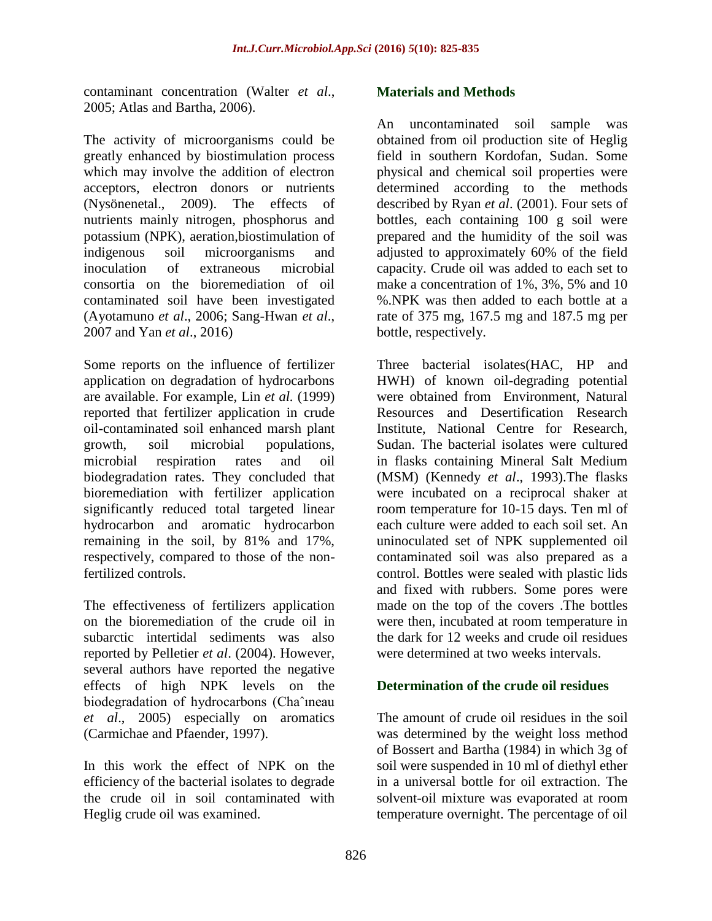contaminant concentration (Walter *et al*., 2005; Atlas and Bartha, 2006).

The activity of microorganisms could be greatly enhanced by biostimulation process which may involve the addition of electron acceptors, electron donors or nutrients (Nysönenetal., 2009). The effects of nutrients mainly nitrogen, phosphorus and potassium (NPK), aeration,biostimulation of indigenous soil microorganisms and inoculation of extraneous microbial consortia on the bioremediation of oil contaminated soil have been investigated (Ayotamuno *et al*., 2006; Sang-Hwan *et al*., 2007 and Yan *et al*., 2016)

Some reports on the influence of fertilizer application on degradation of hydrocarbons are available. For example, Lin *et al.* (1999) reported that fertilizer application in crude oil-contaminated soil enhanced marsh plant growth, soil microbial populations, microbial respiration rates and oil biodegradation rates. They concluded that bioremediation with fertilizer application significantly reduced total targeted linear hydrocarbon and aromatic hydrocarbon remaining in the soil, by 81% and 17%, respectively, compared to those of the nonfertilized controls.

The effectiveness of fertilizers application on the bioremediation of the crude oil in subarctic intertidal sediments was also reported by Pelletier *et al*. (2004). However, several authors have reported the negative effects of high NPK levels on the biodegradation of hydrocarbons (Chaˆıneau *et al*., 2005) especially on aromatics (Carmichae and Pfaender, 1997).

In this work the effect of NPK on the efficiency of the bacterial isolates to degrade the crude oil in soil contaminated with Heglig crude oil was examined.

#### **Materials and Methods**

An uncontaminated soil sample was obtained from oil production site of Heglig field in southern Kordofan, Sudan. Some physical and chemical soil properties were determined according to the methods described by Ryan *et al*. (2001). Four sets of bottles, each containing 100 g soil were prepared and the humidity of the soil was adjusted to approximately 60% of the field capacity. Crude oil was added to each set to make a concentration of 1%, 3%, 5% and 10 %.NPK was then added to each bottle at a rate of 375 mg, 167.5 mg and 187.5 mg per bottle, respectively.

Three bacterial isolates(HAC, HP and HWH) of known oil-degrading potential were obtained from Environment, Natural Resources and Desertification Research Institute, National Centre for Research, Sudan. The bacterial isolates were cultured in flasks containing Mineral Salt Medium (MSM) (Kennedy *et al*., 1993).The flasks were incubated on a reciprocal shaker at room temperature for 10-15 days. Ten ml of each culture were added to each soil set. An uninoculated set of NPK supplemented oil contaminated soil was also prepared as a control. Bottles were sealed with plastic lids and fixed with rubbers. Some pores were made on the top of the covers .The bottles were then, incubated at room temperature in the dark for 12 weeks and crude oil residues were determined at two weeks intervals.

#### **Determination of the crude oil residues**

The amount of crude oil residues in the soil was determined by the weight loss method of Bossert and Bartha (1984) in which 3g of soil were suspended in 10 ml of diethyl ether in a universal bottle for oil extraction. The solvent-oil mixture was evaporated at room temperature overnight. The percentage of oil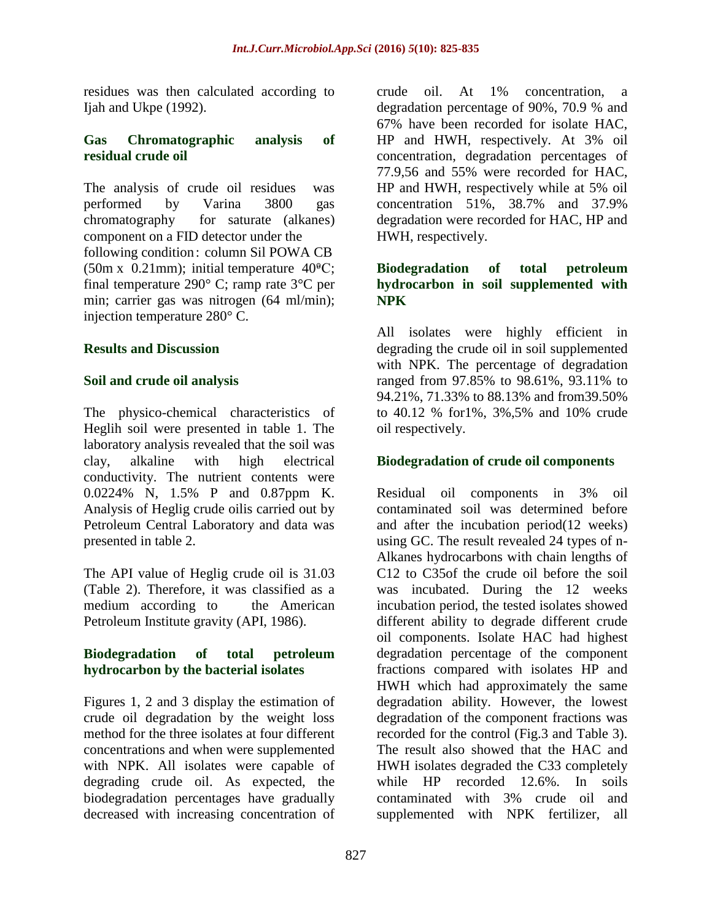residues was then calculated according to Ijah and Ukpe (1992).

#### **Gas Chromatographic analysis of residual crude oil**

The analysis of crude oil residues was performed by Varina 3800 gas chromatography for saturate (alkanes) component on a FID detector under the following condition: column Sil POWA CB (50m x 0.21mm); initial temperature  $40^{\circ}$ C; final temperature 290° C; ramp rate 3°C per min; carrier gas was nitrogen (64 ml/min); injection temperature 280° C.

#### **Results and Discussion**

#### **Soil and crude oil analysis**

The physico-chemical characteristics of Heglih soil were presented in table 1. The laboratory analysis revealed that the soil was clay, alkaline with high electrical conductivity. The nutrient contents were 0.0224% N, 1.5% P and 0.87ppm K. Analysis of Heglig crude oilis carried out by Petroleum Central Laboratory and data was presented in table 2.

The API value of Heglig crude oil is 31.03 (Table 2). Therefore, it was classified as a medium according to the American Petroleum Institute gravity (API, 1986).

#### **Biodegradation of total petroleum hydrocarbon by the bacterial isolates**

Figures 1, 2 and 3 display the estimation of crude oil degradation by the weight loss method for the three isolates at four different concentrations and when were supplemented with NPK. All isolates were capable of degrading crude oil. As expected, the biodegradation percentages have gradually decreased with increasing concentration of

crude oil. At 1% concentration, a degradation percentage of 90%, 70.9 % and 67% have been recorded for isolate HAC, HP and HWH, respectively. At 3% oil concentration, degradation percentages of 77.9,56 and 55% were recorded for HAC, HP and HWH, respectively while at 5% oil concentration 51%, 38.7% and 37.9% degradation were recorded for HAC, HP and HWH, respectively.

## **Biodegradation of total petroleum hydrocarbon in soil supplemented with NPK**

All isolates were highly efficient in degrading the crude oil in soil supplemented with NPK. The percentage of degradation ranged from 97.85% to 98.61%, 93.11% to 94.21%, 71.33% to 88.13% and from39.50% to 40.12 % for1%, 3%,5% and 10% crude oil respectively.

#### **Biodegradation of crude oil components**

Residual oil components in 3% oil contaminated soil was determined before and after the incubation period(12 weeks) using GC. The result revealed 24 types of n-Alkanes hydrocarbons with chain lengths of C12 to C35of the crude oil before the soil was incubated. During the 12 weeks incubation period, the tested isolates showed different ability to degrade different crude oil components. Isolate HAC had highest degradation percentage of the component fractions compared with isolates HP and HWH which had approximately the same degradation ability. However, the lowest degradation of the component fractions was recorded for the control (Fig.3 and Table 3). The result also showed that the HAC and HWH isolates degraded the C33 completely while HP recorded 12.6%. In soils contaminated with 3% crude oil and supplemented with NPK fertilizer, all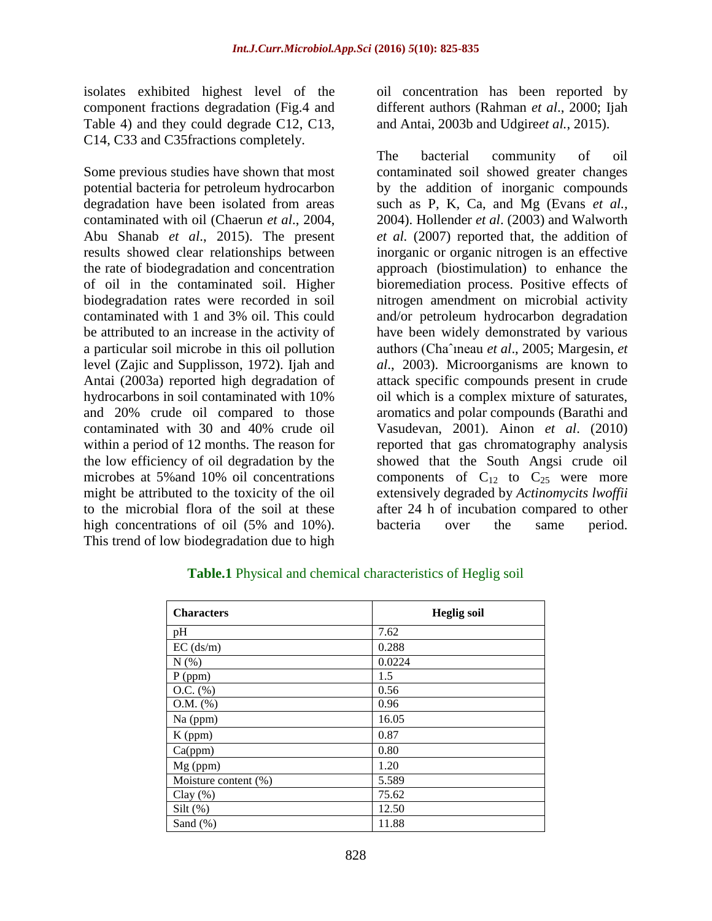isolates exhibited highest level of the component fractions degradation (Fig.4 and Table 4) and they could degrade C12, C13, C14, C33 and C35fractions completely.

Some previous studies have shown that most potential bacteria for petroleum hydrocarbon degradation have been isolated from areas contaminated with oil (Chaerun *et al*., 2004, Abu Shanab *et al*., 2015). The present results showed clear relationships between the rate of biodegradation and concentration of oil in the contaminated soil. Higher biodegradation rates were recorded in soil contaminated with 1 and 3% oil. This could be attributed to an increase in the activity of a particular soil microbe in this oil pollution level (Zajic and Supplisson, 1972). Ijah and Antai (2003a) reported high degradation of hydrocarbons in soil contaminated with 10% and 20% crude oil compared to those contaminated with 30 and 40% crude oil within a period of 12 months. The reason for the low efficiency of oil degradation by the microbes at 5%and 10% oil concentrations might be attributed to the toxicity of the oil to the microbial flora of the soil at these high concentrations of oil (5% and 10%). This trend of low biodegradation due to high

oil concentration has been reported by different authors (Rahman *et al*., 2000; Ijah and Antai, 2003b and Udgire*et al.*, 2015).

The bacterial community of oil contaminated soil showed greater changes by the addition of inorganic compounds such as P, K, Ca, and Mg (Evans *et al.,* 2004). Hollender *et al*. (2003) and Walworth *et al.* (2007) reported that, the addition of inorganic or organic nitrogen is an effective approach (biostimulation) to enhance the bioremediation process. Positive effects of nitrogen amendment on microbial activity and/or petroleum hydrocarbon degradation have been widely demonstrated by various authors (Chaˆıneau *et al*., 2005; Margesin, *et al*., 2003). Microorganisms are known to attack specific compounds present in crude oil which is a complex mixture of saturates, aromatics and polar compounds (Barathi and Vasudevan, 2001). Ainon *et al*. (2010) reported that gas chromatography analysis showed that the South Angsi crude oil components of  $C_{12}$  to  $C_{25}$  were more extensively degraded by *Actinomycits lwoffii* after 24 h of incubation compared to other bacteria over the same period.

| <b>Characters</b>    | <b>Heglig soil</b> |
|----------------------|--------------------|
| pH                   | 7.62               |
| $EC$ (ds/m)          | 0.288              |
| N(% )                | 0.0224             |
| P (ppm)              | 1.5                |
| $O.C.$ $%$           | 0.56               |
| $O.M.$ (%)           | 0.96               |
| Na (ppm)             | 16.05              |
| $K$ (ppm)            | 0.87               |
| Ca(ppm)              | 0.80               |
| $Mg$ (ppm)           | 1.20               |
| Moisture content (%) | 5.589              |
| Clay $(\%)$          | 75.62              |
| Silt $(\%)$          | 12.50              |
| Sand $(\%)$          | 11.88              |

#### **Table.1** Physical and chemical characteristics of Heglig soil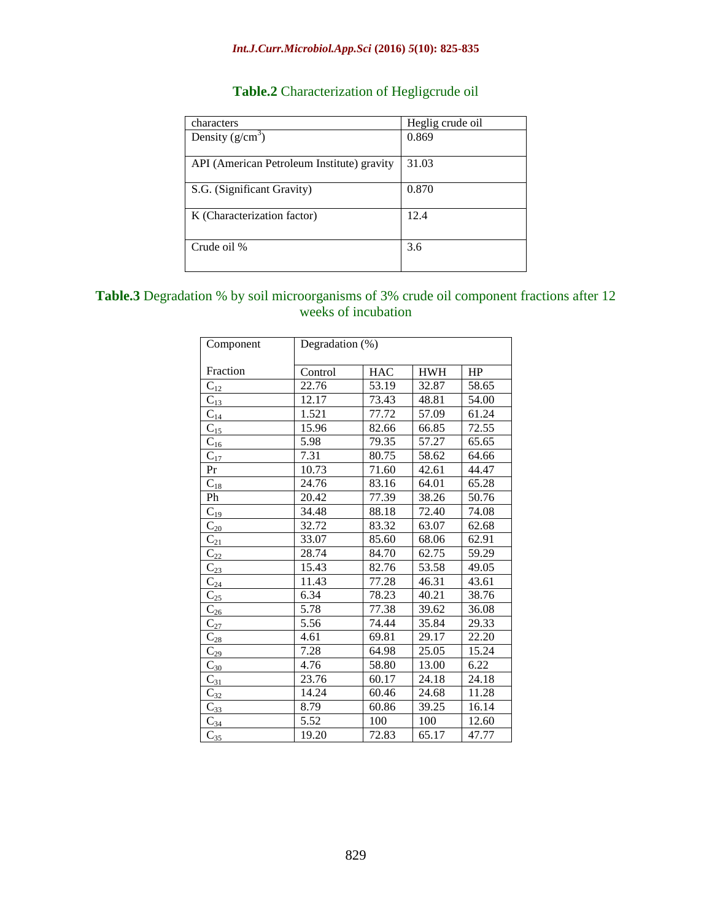#### *Int.J.Curr.Microbiol.App.Sci* **(2016)** *5***(10): 825-835**

# **Table.2** Characterization of Hegligcrude oil

| characters                                 | Heglig crude oil |
|--------------------------------------------|------------------|
| Density $(g/cm^3)$                         | 0.869            |
|                                            |                  |
| API (American Petroleum Institute) gravity | 31.03            |
|                                            |                  |
| S.G. (Significant Gravity)                 | 0.870            |
|                                            |                  |
| K (Characterization factor)                | 12.4             |
|                                            |                  |
| Crude oil %                                | 3.6              |
|                                            |                  |
|                                            |                  |

## **Table.3** Degradation % by soil microorganisms of 3% crude oil component fractions after 12 weeks of incubation

| Component         | Degradation (%) |            |            |       |  |
|-------------------|-----------------|------------|------------|-------|--|
|                   |                 |            |            |       |  |
| Fraction          | Control         | <b>HAC</b> | <b>HWH</b> | HP    |  |
| $C_{12}$          | 22.76           | 53.19      | 32.87      | 58.65 |  |
| $C_{13}$          | 12.17           | 73.43      | 48.81      | 54.00 |  |
| $C_{14}$          | 1.521           | 77.72      | 57.09      | 61.24 |  |
| $C_{15}$          | 15.96           | 82.66      | 66.85      | 72.55 |  |
| $C_{16}$          | 5.98            | 79.35      | 57.27      | 65.65 |  |
| $C_{17}$          | 7.31            | 80.75      | 58.62      | 64.66 |  |
| Pr                | 10.73           | 71.60      | 42.61      | 44.47 |  |
| $\mathrm{C}_{18}$ | 24.76           | 83.16      | 64.01      | 65.28 |  |
| Ph                | 20.42           | 77.39      | 38.26      | 50.76 |  |
| $C_{19}$          | 34.48           | 88.18      | 72.40      | 74.08 |  |
| $C_{20}$          | 32.72           | 83.32      | 63.07      | 62.68 |  |
| $C_{21}$          | 33.07           | 85.60      | 68.06      | 62.91 |  |
| $C_{22}$          | 28.74           | 84.70      | 62.75      | 59.29 |  |
| $C_{23}$          | 15.43           | 82.76      | 53.58      | 49.05 |  |
| $C_{24}$          | 11.43           | 77.28      | 46.31      | 43.61 |  |
| $C_{25}$          | 6.34            | 78.23      | 40.21      | 38.76 |  |
| $C_{26}$          | 5.78            | 77.38      | 39.62      | 36.08 |  |
| $C_{27}$          | 5.56            | 74.44      | 35.84      | 29.33 |  |
| $C_{28}$          | 4.61            | 69.81      | 29.17      | 22.20 |  |
| $C_{29}$          | 7.28            | 64.98      | 25.05      | 15.24 |  |
| $C_{30}$          | 4.76            | 58.80      | 13.00      | 6.22  |  |
| $C_{31}$          | 23.76           | 60.17      | 24.18      | 24.18 |  |
| $C_{32}$          | 14.24           | 60.46      | 24.68      | 11.28 |  |
| $C_{33}$          | 8.79            | 60.86      | 39.25      | 16.14 |  |
| $C_{34}$          | 5.52            | 100        | 100        | 12.60 |  |
| $C_{35}$          | 19.20           | 72.83      | 65.17      | 47.77 |  |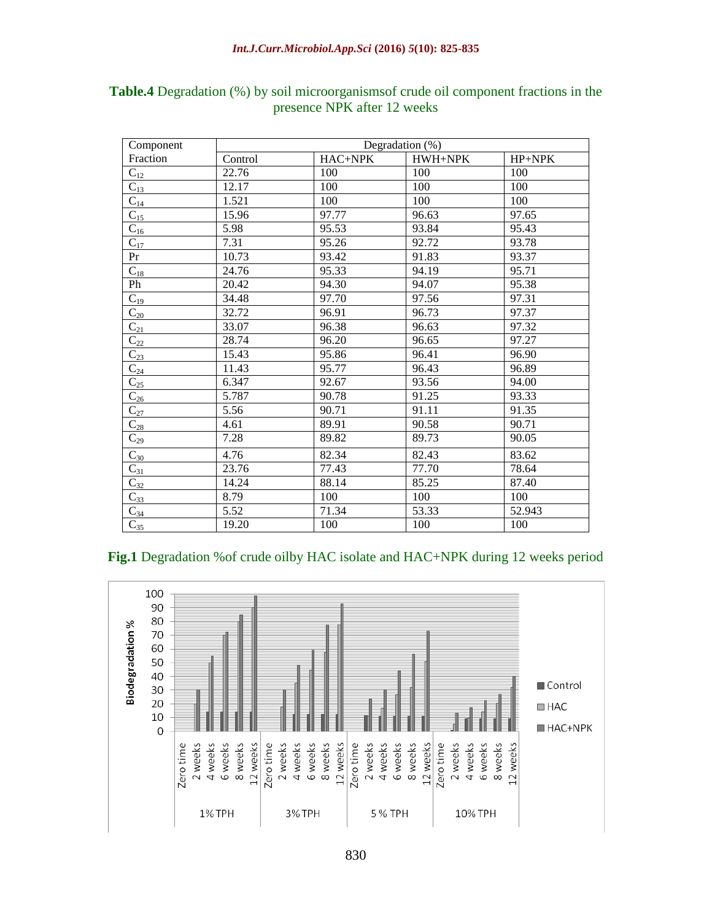| Component           | Degradation (%) |         |         |        |  |
|---------------------|-----------------|---------|---------|--------|--|
| Fraction            | Control         | HAC+NPK | HWH+NPK | HP+NPK |  |
| $C_{12}$            | 22.76           | 100     | 100     | 100    |  |
| $\overline{C_{13}}$ | 12.17           | 100     | 100     | 100    |  |
| $C_{14}$            | 1.521           | 100     | 100     | 100    |  |
| $C_{15}$            | 15.96           | 97.77   | 96.63   | 97.65  |  |
| $C_{16}$            | 5.98            | 95.53   | 93.84   | 95.43  |  |
| $C_{17}$            | 7.31            | 95.26   | 92.72   | 93.78  |  |
| Pr                  | 10.73           | 93.42   | 91.83   | 93.37  |  |
| $\overline{C}_{18}$ | 24.76           | 95.33   | 94.19   | 95.71  |  |
| Ph                  | 20.42           | 94.30   | 94.07   | 95.38  |  |
| $C_{19}$            | 34.48           | 97.70   | 97.56   | 97.31  |  |
| $\mathrm{C}_{20}$   | 32.72           | 96.91   | 96.73   | 97.37  |  |
| $C_{21}$            | 33.07           | 96.38   | 96.63   | 97.32  |  |
| $C_{22}$            | 28.74           | 96.20   | 96.65   | 97.27  |  |
| $\overline{C_{23}}$ | 15.43           | 95.86   | 96.41   | 96.90  |  |
| $C_{24}$            | 11.43           | 95.77   | 96.43   | 96.89  |  |
| $C_{25}$            | 6.347           | 92.67   | 93.56   | 94.00  |  |
| $C_{26}$            | 5.787           | 90.78   | 91.25   | 93.33  |  |
| $C_{27}$            | 5.56            | 90.71   | 91.11   | 91.35  |  |
| $C_{28}$            | 4.61            | 89.91   | 90.58   | 90.71  |  |
| $\overline{C_{29}}$ | 7.28            | 89.82   | 89.73   | 90.05  |  |
| $C_{30}$            | 4.76            | 82.34   | 82.43   | 83.62  |  |
| $C_{31}$            | 23.76           | 77.43   | 77.70   | 78.64  |  |
| $C_{32}$            | 14.24           | 88.14   | 85.25   | 87.40  |  |
| $C_{33}$            | 8.79            | 100     | 100     | 100    |  |
| $C_{34}$            | 5.52            | 71.34   | 53.33   | 52.943 |  |
| $C_{35}$            | 19.20           | 100     | 100     | 100    |  |

## **Table.4** Degradation (%) by soil microorganismsof crude oil component fractions in the presence NPK after 12 weeks

#### **Fig.1** Degradation %of crude oilby HAC isolate and HAC+NPK during 12 weeks period

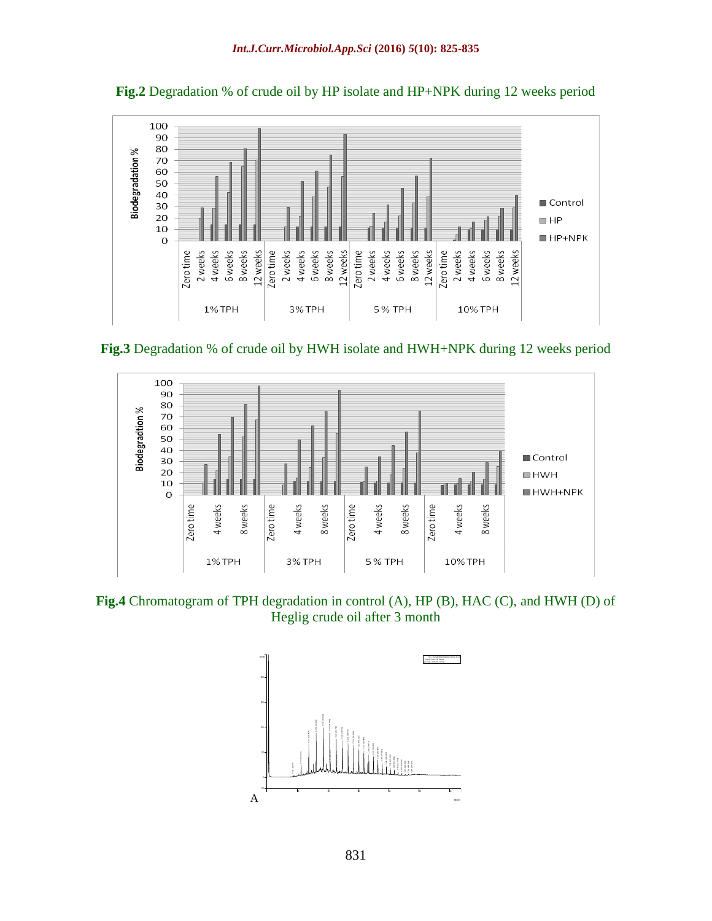

**Fig.2** Degradation % of crude oil by HP isolate and HP+NPK during 12 weeks period





**Fig.4** Chromatogram of TPH degradation in control (A), HP (B), HAC (C), and HWH (D) of Heglig crude oil after 3 month

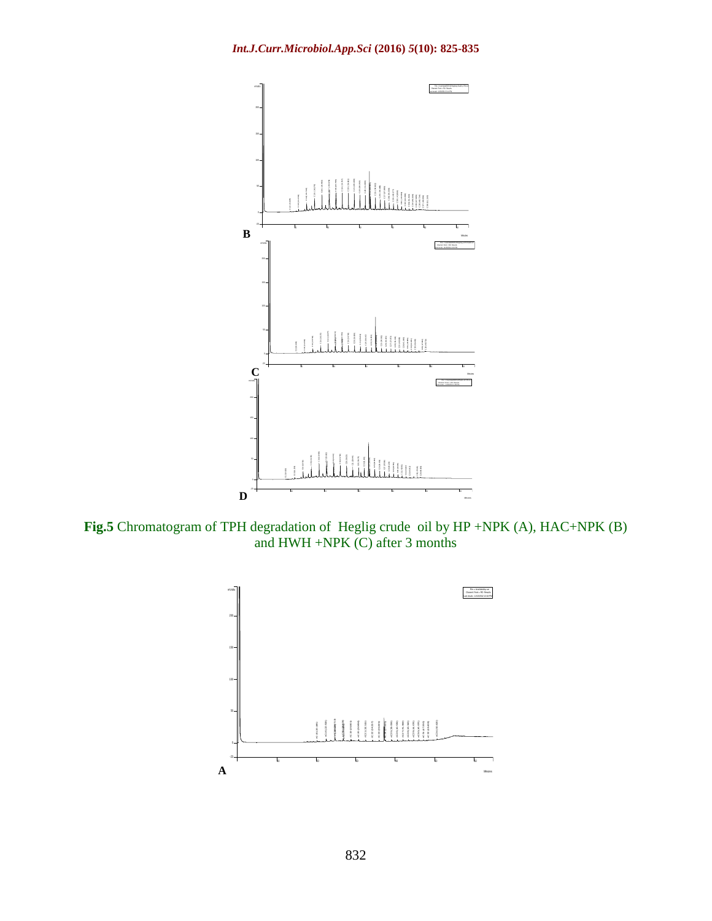

**Fig.5** Chromatogram of TPH degradation of Heglig crude oil by HP +NPK (A), HAC+NPK (B) and HWH +NPK (C) after 3 months

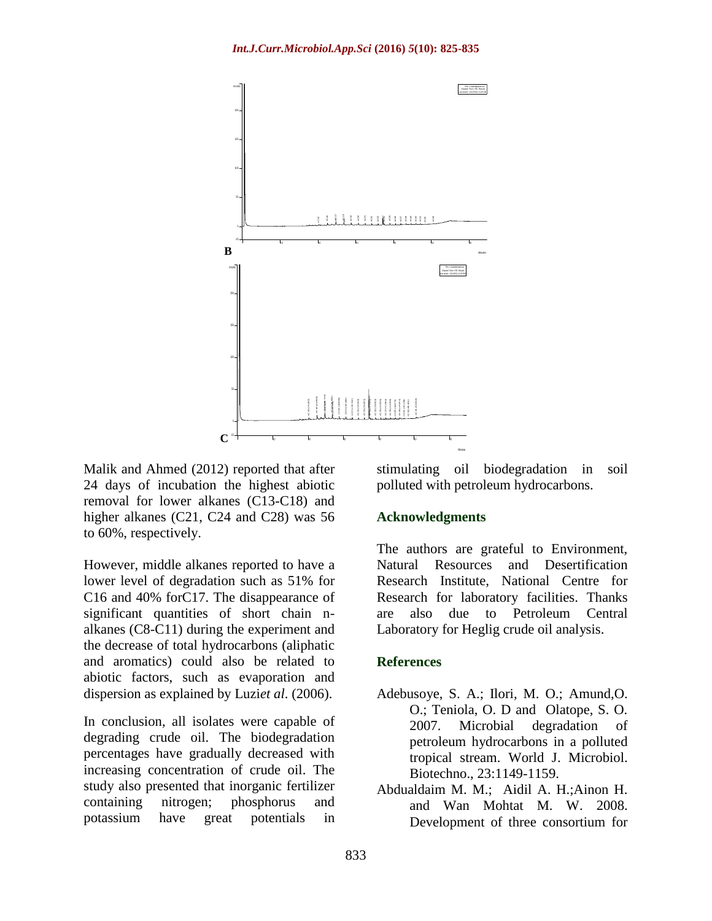

Malik and Ahmed (2012) reported that after 24 days of incubation the highest abiotic removal for lower alkanes (C13-C18) and higher alkanes (C21, C24 and C28) was 56 to 60%, respectively.

However, middle alkanes reported to have a lower level of degradation such as 51% for C16 and 40% forC17. The disappearance of significant quantities of short chain nalkanes (C8-C11) during the experiment and the decrease of total hydrocarbons (aliphatic and aromatics) could also be related to abiotic factors, such as evaporation and dispersion as explained by Luzi*et al*. (2006).

In conclusion, all isolates were capable of degrading crude oil. The biodegradation percentages have gradually decreased with increasing concentration of crude oil. The study also presented that inorganic fertilizer containing nitrogen; phosphorus and potassium have great potentials in

stimulating oil biodegradation in soil polluted with petroleum hydrocarbons.

#### **Acknowledgments**

The authors are grateful to Environment, Natural Resources and Desertification Research Institute, National Centre for Research for laboratory facilities. Thanks are also due to Petroleum Central Laboratory for Heglig crude oil analysis.

#### **References**

- Adebusoye, S. A.; Ilori, M. O.; Amund,O. O.; Teniola, O. D and Olatope, S. O. 2007. Microbial degradation of petroleum hydrocarbons in a polluted tropical stream. World J. Microbiol. Biotechno., 23:1149-1159.
- Abdualdaim M. M.; Aidil A. H.;Ainon H. and Wan Mohtat M. W. 2008. Development of three consortium for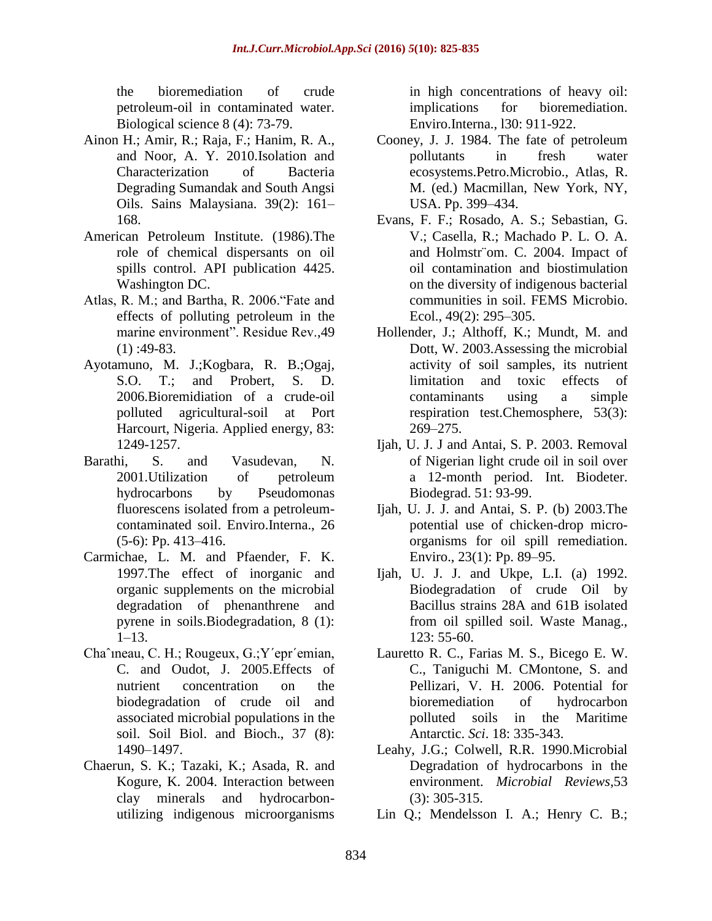the bioremediation of crude petroleum-oil in contaminated water. Biological science 8 (4): 73-79.

- Ainon H.; Amir, R.; Raja, F.; Hanim, R. A., and Noor, A. Y. 2010.Isolation and Characterization of Bacteria Degrading Sumandak and South Angsi Oils. Sains Malaysiana. 39(2): 161– 168.
- American Petroleum Institute. (1986).The role of chemical dispersants on oil spills control. API publication 4425. Washington DC.
- Atlas, R. M.; and Bartha, R. 2006."Fate and effects of polluting petroleum in the marine environment". Residue Rev.,49  $(1)$ :49-83.
- Ayotamuno, M. J.;Kogbara, R. B.;Ogaj, S.O. T.; and Probert, S. D. 2006.Bioremidiation of a crude-oil polluted agricultural-soil at Port Harcourt, Nigeria. Applied energy, 83: 1249-1257.
- Barathi, S. and Vasudevan, N. 2001.Utilization of petroleum hydrocarbons by Pseudomonas fluorescens isolated from a petroleumcontaminated soil. Enviro.Interna., 26  $(5-6)$ : Pp. 413–416.
- Carmichae, L. M. and Pfaender, F. K. 1997.The effect of inorganic and organic supplements on the microbial degradation of phenanthrene and pyrene in soils.Biodegradation, 8 (1): 1–13.
- Chaˆıneau, C. H.; Rougeux, G.;Y´epr´emian, C. and Oudot, J. 2005.Effects of nutrient concentration on the biodegradation of crude oil and associated microbial populations in the soil. Soil Biol. and Bioch., 37 (8): 1490–1497.
- Chaerun, S. K.; Tazaki, K.; Asada, R. and Kogure, K. 2004. Interaction between clay minerals and hydrocarbonutilizing indigenous microorganisms

in high concentrations of heavy oil: implications for bioremediation. Enviro.Interna., l30: 911-922.

- Cooney, J. J. 1984. The fate of petroleum pollutants in fresh water ecosystems.Petro.Microbio., Atlas, R. M. (ed.) Macmillan, New York, NY, USA. Pp. 399–434.
- Evans, F. F.; Rosado, A. S.; Sebastian, G. V.; Casella, R.; Machado P. L. O. A. and Holmstr¨om. C. 2004. Impact of oil contamination and biostimulation on the diversity of indigenous bacterial communities in soil. FEMS Microbio. Ecol., 49(2): 295–305.
- Hollender, J.; Althoff, K.; Mundt, M. and Dott, W. 2003.Assessing the microbial activity of soil samples, its nutrient limitation and toxic effects of contaminants using a simple respiration test.Chemosphere, 53(3): 269–275.
- Ijah, U. J. J and Antai, S. P. 2003. Removal of Nigerian light crude oil in soil over a 12-month period. Int. Biodeter. Biodegrad. 51: 93-99.
- Ijah, U. J. J. and Antai, S. P. (b) 2003.The potential use of chicken-drop microorganisms for oil spill remediation. Enviro., 23(1): Pp. 89–95.
- Ijah, U. J. J. and Ukpe, L.I. (a) 1992. Biodegradation of crude Oil by Bacillus strains 28A and 61B isolated from oil spilled soil. Waste Manag., 123: 55-60.
- Lauretto R. C., Farias M. S., Bicego E. W. C., Taniguchi M. CMontone, S. and Pellizari, V. H. 2006. Potential for bioremediation of hydrocarbon polluted soils in the Maritime Antarctic. *Sci*. 18: 335-343.
- Leahy, J.G.; Colwell, R.R. 1990.Microbial Degradation of hydrocarbons in the environment. *Microbial Reviews*,53 (3): 305-315.
- Lin Q.; Mendelsson I. A.; Henry C. B.;